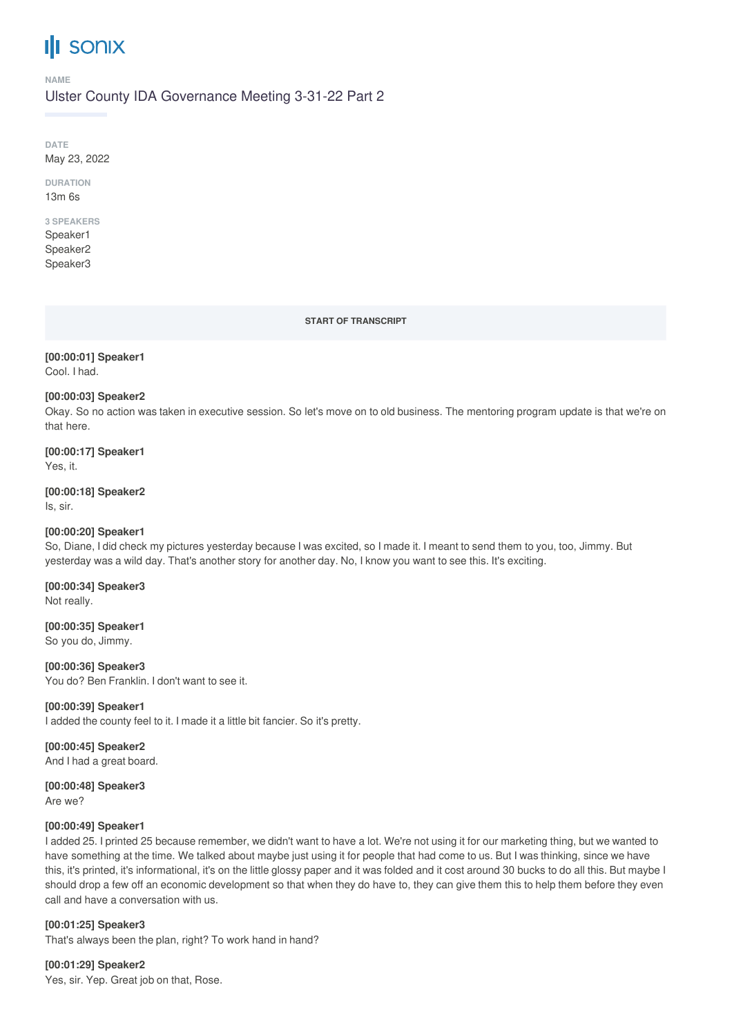# **III** sonix

#### **NAME**

Ulster County IDA Governance Meeting 3-31-22 Part 2

**DATE** May 23, 2022

**DURATION** 13m 6s

# **3 SPEAKERS**

Speaker1 Speaker2 Speaker3

#### **START OF TRANSCRIPT**

#### **[00:00:01] Speaker1** Cool. I had.

# **[00:00:03] Speaker2**

Okay. So no action was taken in executive session. So let's move on to old business. The mentoring program update is that we're on that here.

**[00:00:17] Speaker1** Yes, it.

# **[00:00:18] Speaker2**

Is, sir.

# **[00:00:20] Speaker1**

So, Diane, I did check my pictures yesterday because I was excited, so I made it. I meant to send them to you, too, Jimmy. But yesterday was a wild day. That's another story for another day. No, I know you want to see this. It's exciting.

**[00:00:34] Speaker3** Not really.

**[00:00:35] Speaker1** So you do, Jimmy.

**[00:00:36] Speaker3** You do? Ben Franklin. I don't want to see it.

# **[00:00:39] Speaker1**

I added the county feel to it. I made it a little bit fancier. So it's pretty.

**[00:00:45] Speaker2** And I had a great board.

# **[00:00:48] Speaker3**

Are we?

# **[00:00:49] Speaker1**

I added 25. I printed 25 because remember, we didn't want to have a lot. We're not using it for our marketing thing, but we wanted to have something at the time. We talked about maybe just using it for people that had come to us. But I was thinking, since we have this, it's printed, it's informational, it's on the little glossy paper and it was folded and it cost around 30 bucks to do all this. But maybe I should drop a few off an economic development so that when they do have to, they can give them this to help them before they even call and have a conversation with us.

# **[00:01:25] Speaker3**

That's always been the plan, right? To work hand in hand?

**[00:01:29] Speaker2** Yes, sir. Yep. Great job on that, Rose.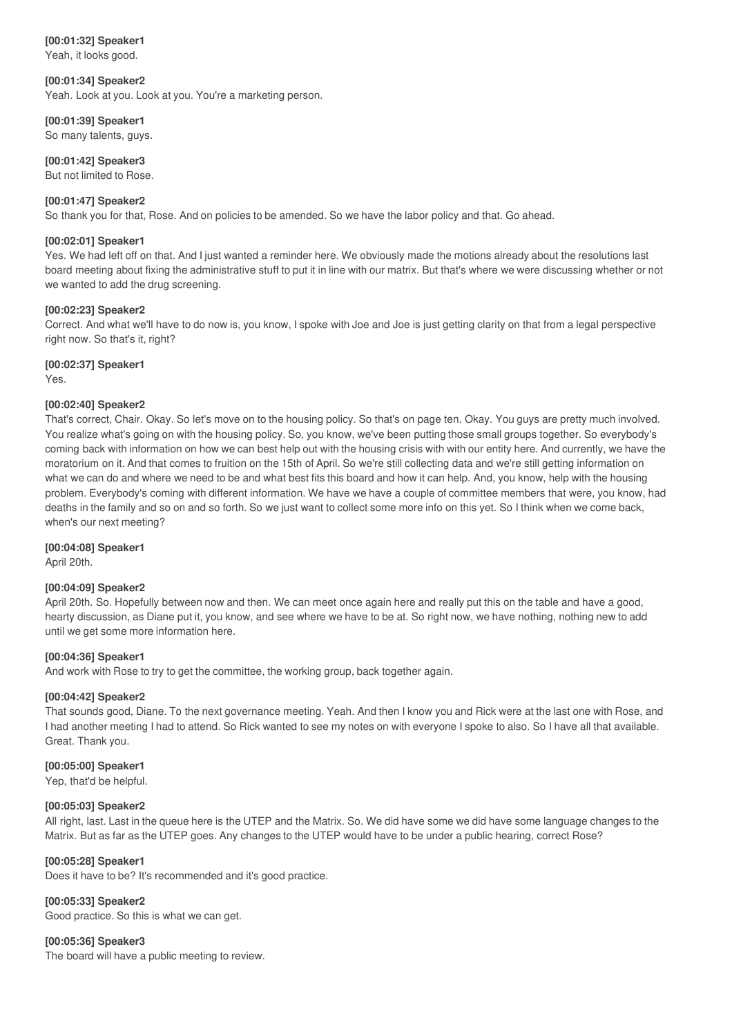# **[00:01:32] Speaker1**

Yeah, it looks good.

#### **[00:01:34] Speaker2**

Yeah. Look at you. Look at you. You're a marketing person.

# **[00:01:39] Speaker1**

So many talents, guys.

**[00:01:42] Speaker3**

But not limited to Rose.

# **[00:01:47] Speaker2**

So thank you for that, Rose. And on policies to be amended. So we have the labor policy and that. Go ahead.

# **[00:02:01] Speaker1**

Yes. We had left off on that. And I just wanted a reminder here. We obviously made the motions already about the resolutions last board meeting about fixing the administrative stuff to put it in line with our matrix. But that's where we were discussing whether or not we wanted to add the drug screening.

# **[00:02:23] Speaker2**

Correct. And what we'll have to do now is, you know, I spoke with Joe and Joe is just getting clarity on that from a legal perspective right now. So that's it, right?

# **[00:02:37] Speaker1**

Yes.

# **[00:02:40] Speaker2**

That's correct, Chair. Okay. So let's move on to the housing policy. So that's on page ten. Okay. You guys are pretty much involved. You realize what's going on with the housing policy. So, you know, we've been putting those small groups together. So everybody's coming back with information on how we can best help out with the housing crisis with with our entity here. And currently, we have the moratorium on it. And that comes to fruition on the 15th of April. So we're still collecting data and we're still getting information on what we can do and where we need to be and what best fits this board and how it can help. And, you know, help with the housing problem. Everybody's coming with different information. We have we have a couple of committee members that were, you know, had deaths in the family and so on and so forth. So we just want to collect some more info on this yet. So I think when we come back, when's our next meeting?

# **[00:04:08] Speaker1**

April 20th.

# **[00:04:09] Speaker2**

April 20th. So. Hopefully between now and then. We can meet once again here and really put this on the table and have a good, hearty discussion, as Diane put it, you know, and see where we have to be at. So right now, we have nothing, nothing new to add until we get some more information here.

# **[00:04:36] Speaker1**

And work with Rose to try to get the committee, the working group, back together again.

# **[00:04:42] Speaker2**

That sounds good, Diane. To the next governance meeting. Yeah. And then I know you and Rick were at the last one with Rose, and I had another meeting I had to attend. So Rick wanted to see my notes on with everyone I spoke to also. So I have all that available. Great. Thank you.

# **[00:05:00] Speaker1**

Yep, that'd be helpful.

# **[00:05:03] Speaker2**

All right, last. Last in the queue here is the UTEP and the Matrix. So. We did have some we did have some language changes to the Matrix. But as far as the UTEP goes. Any changes to the UTEP would have to be under a public hearing, correct Rose?

# **[00:05:28] Speaker1**

Does it have to be? It's recommended and it's good practice.

# **[00:05:33] Speaker2**

Good practice. So this is what we can get.

# **[00:05:36] Speaker3**

The board will have a public meeting to review.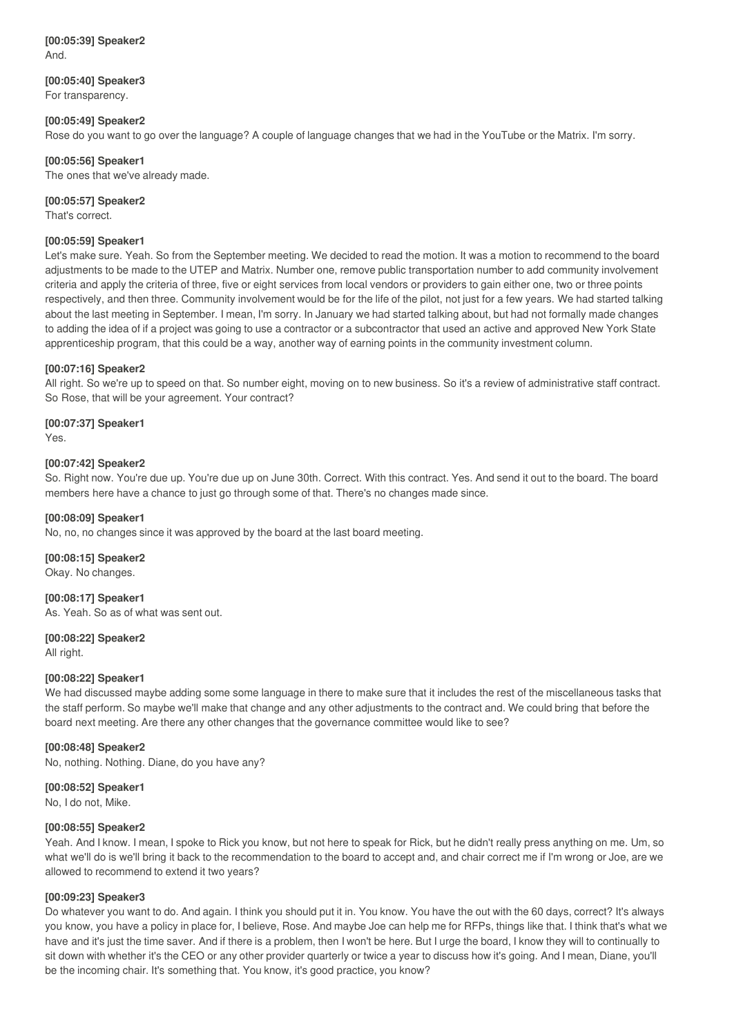**[00:05:39] Speaker2** And.

**[00:05:40] Speaker3** For transparency.

#### **[00:05:49] Speaker2**

Rose do you want to go over the language? A couple of language changes that we had in the YouTube or the Matrix. I'm sorry.

#### **[00:05:56] Speaker1**

The ones that we've already made.

#### **[00:05:57] Speaker2**

That's correct.

#### **[00:05:59] Speaker1**

Let's make sure. Yeah. So from the September meeting. We decided to read the motion. It was a motion to recommend to the board adjustments to be made to the UTEP and Matrix. Number one, remove public transportation number to add community involvement criteria and apply the criteria of three, five or eight services from local vendors or providers to gain either one, two or three points respectively, and then three. Community involvement would be for the life of the pilot, not just for a few years. We had started talking about the last meeting in September. I mean, I'm sorry. In January we had started talking about, but had not formally made changes to adding the idea of if a project was going to use a contractor or a subcontractor that used an active and approved New York State apprenticeship program, that this could be a way, another way of earning points in the community investment column.

#### **[00:07:16] Speaker2**

All right. So we're up to speed on that. So number eight, moving on to new business. So it's a review of administrative staff contract. So Rose, that will be your agreement. Your contract?

#### **[00:07:37] Speaker1**

Yes.

#### **[00:07:42] Speaker2**

So. Right now. You're due up. You're due up on June 30th. Correct. With this contract. Yes. And send it out to the board. The board members here have a chance to just go through some of that. There's no changes made since.

#### **[00:08:09] Speaker1**

No, no, no changes since it was approved by the board at the last board meeting.

**[00:08:15] Speaker2**

Okay. No changes.

**[00:08:17] Speaker1** As. Yeah. So as of what was sent out.

**[00:08:22] Speaker2**

All right.

#### **[00:08:22] Speaker1**

We had discussed maybe adding some some language in there to make sure that it includes the rest of the miscellaneous tasks that the staff perform. So maybe we'll make that change and any other adjustments to the contract and. We could bring that before the board next meeting. Are there any other changes that the governance committee would like to see?

#### **[00:08:48] Speaker2**

No, nothing. Nothing. Diane, do you have any?

#### **[00:08:52] Speaker1**

No, I do not, Mike.

#### **[00:08:55] Speaker2**

Yeah. And I know. I mean, I spoke to Rick you know, but not here to speak for Rick, but he didn't really press anything on me. Um, so what we'll do is we'll bring it back to the recommendation to the board to accept and, and chair correct me if I'm wrong or Joe, are we allowed to recommend to extend it two years?

#### **[00:09:23] Speaker3**

Do whatever you want to do. And again. I think you should put it in. You know. You have the out with the 60 days, correct? It's always you know, you have a policy in place for, I believe, Rose. And maybe Joe can help me for RFPs, things like that. I think that's what we have and it's just the time saver. And if there is a problem, then I won't be here. But I urge the board, I know they will to continually to sit down with whether it's the CEO or any other provider quarterly or twice a year to discuss how it's going. And I mean, Diane, you'll be the incoming chair. It's something that. You know, it's good practice, you know?